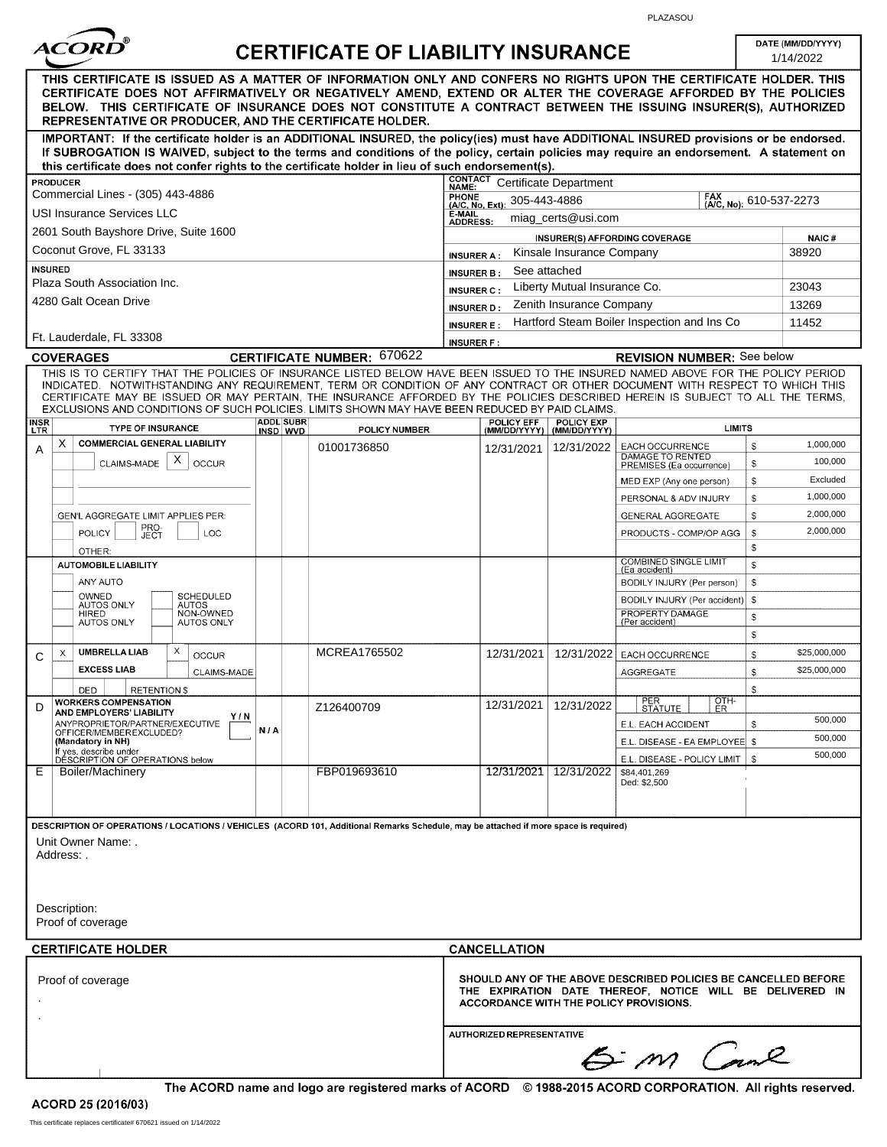

#### $140117$ VINCUDANOE

PLAZASOU

DATE (MM/DD/YYYY)

| ------<br>UERTIFIUATE UF LIABILITT INSURANUE                                                                                                                                                                                                                                                                                                                                                                                                                                                       |                     |                              |                                   |                                                         |                                       |                                                          | 1/14/2022                                                                                                                                                                   |          |                         |
|----------------------------------------------------------------------------------------------------------------------------------------------------------------------------------------------------------------------------------------------------------------------------------------------------------------------------------------------------------------------------------------------------------------------------------------------------------------------------------------------------|---------------------|------------------------------|-----------------------------------|---------------------------------------------------------|---------------------------------------|----------------------------------------------------------|-----------------------------------------------------------------------------------------------------------------------------------------------------------------------------|----------|-------------------------|
| THIS CERTIFICATE IS ISSUED AS A MATTER OF INFORMATION ONLY AND CONFERS NO RIGHTS UPON THE CERTIFICATE HOLDER. THIS<br>CERTIFICATE DOES NOT AFFIRMATIVELY OR NEGATIVELY AMEND, EXTEND OR ALTER THE COVERAGE AFFORDED BY THE POLICIES<br>BELOW. THIS CERTIFICATE OF INSURANCE DOES NOT CONSTITUTE A CONTRACT BETWEEN THE ISSUING INSURER(S), AUTHORIZED<br>REPRESENTATIVE OR PRODUCER, AND THE CERTIFICATE HOLDER.                                                                                   |                     |                              |                                   |                                                         |                                       |                                                          |                                                                                                                                                                             |          |                         |
| IMPORTANT: If the certificate holder is an ADDITIONAL INSURED, the policy(ies) must have ADDITIONAL INSURED provisions or be endorsed.<br>If SUBROGATION IS WAIVED, subject to the terms and conditions of the policy, certain policies may require an endorsement. A statement on<br>this certificate does not confer rights to the certificate holder in lieu of such endorsement(s).                                                                                                            |                     |                              |                                   |                                                         |                                       |                                                          |                                                                                                                                                                             |          |                         |
| <b>PRODUCER</b><br>Commercial Lines - (305) 443-4886                                                                                                                                                                                                                                                                                                                                                                                                                                               |                     |                              |                                   | <b>CONTACT</b><br>NAME:                                 |                                       | <b>Certificate Department</b>                            | FAX                                                                                                                                                                         |          |                         |
| USI Insurance Services LLC                                                                                                                                                                                                                                                                                                                                                                                                                                                                         |                     |                              |                                   |                                                         | PHONE<br>(A/C, No, Ext): 305-443-4886 | miag_certs@usi.com                                       |                                                                                                                                                                             |          | (A/C, No): 610-537-2273 |
| 2601 South Bayshore Drive, Suite 1600                                                                                                                                                                                                                                                                                                                                                                                                                                                              |                     |                              |                                   | <b>ADDRESS:</b><br><b>INSURER(S) AFFORDING COVERAGE</b> |                                       |                                                          |                                                                                                                                                                             |          | NAIC#                   |
| Coconut Grove, FL 33133                                                                                                                                                                                                                                                                                                                                                                                                                                                                            |                     |                              |                                   | Kinsale Insurance Company<br><b>INSURER A:</b>          |                                       |                                                          |                                                                                                                                                                             |          | 38920                   |
| <b>INSURED</b><br>Plaza South Association Inc.                                                                                                                                                                                                                                                                                                                                                                                                                                                     |                     |                              |                                   | <b>INSURER B:</b>                                       | See attached                          |                                                          |                                                                                                                                                                             |          |                         |
| 4280 Galt Ocean Drive                                                                                                                                                                                                                                                                                                                                                                                                                                                                              |                     |                              |                                   | <b>INSURER C:</b><br><b>INSURER D:</b>                  |                                       | Liberty Mutual Insurance Co.<br>Zenith Insurance Company |                                                                                                                                                                             |          | 23043<br>13269          |
|                                                                                                                                                                                                                                                                                                                                                                                                                                                                                                    |                     |                              |                                   | <b>INSURER E:</b>                                       |                                       |                                                          | Hartford Steam Boiler Inspection and Ins Co                                                                                                                                 |          | 11452                   |
| Ft. Lauderdale, FL 33308                                                                                                                                                                                                                                                                                                                                                                                                                                                                           |                     |                              |                                   | <b>INSURER F:</b>                                       |                                       |                                                          |                                                                                                                                                                             |          |                         |
| <b>COVERAGES</b>                                                                                                                                                                                                                                                                                                                                                                                                                                                                                   |                     |                              | <b>CERTIFICATE NUMBER: 670622</b> |                                                         |                                       |                                                          | <b>REVISION NUMBER:</b> See below                                                                                                                                           |          |                         |
| THIS IS TO CERTIFY THAT THE POLICIES OF INSURANCE LISTED BELOW HAVE BEEN ISSUED TO THE INSURED NAMED ABOVE FOR THE POLICY PERIOD<br>INDICATED. NOTWITHSTANDING ANY REQUIREMENT, TERM OR CONDITION OF ANY CONTRACT OR OTHER DOCUMENT WITH RESPECT TO WHICH THIS<br>CERTIFICATE MAY BE ISSUED OR MAY PERTAIN, THE INSURANCE AFFORDED BY THE POLICIES DESCRIBED HEREIN IS SUBJECT TO ALL THE TERMS,<br>EXCLUSIONS AND CONDITIONS OF SUCH POLICIES. LIMITS SHOWN MAY HAVE BEEN REDUCED BY PAID CLAIMS. |                     |                              |                                   |                                                         |                                       |                                                          |                                                                                                                                                                             |          |                         |
| <b>INSR</b><br>LTR<br><b>TYPE OF INSURANCE</b>                                                                                                                                                                                                                                                                                                                                                                                                                                                     |                     | <b>ADDL SUBR</b><br>INSD WVD | POLICY NUMBER                     |                                                         | <b>POLICY EFF</b><br>(MM/DD/YYYY)     | <b>POLICY EXP</b><br>(MM/DD/YYYY)                        | <b>LIMITS</b>                                                                                                                                                               |          |                         |
| X<br><b>COMMERCIAL GENERAL LIABILITY</b><br>Α<br>$\mathsf{X}$<br>CLAIMS-MADE<br><b>OCCUR</b>                                                                                                                                                                                                                                                                                                                                                                                                       |                     |                              | 01001736850                       |                                                         | 12/31/2021                            | 12/31/2022                                               | EACH OCCURRENCE<br>DAMAGE TO RENTED<br>PREMISES (Ea occurrence)                                                                                                             | \$<br>s. | 1,000,000<br>100,000    |
|                                                                                                                                                                                                                                                                                                                                                                                                                                                                                                    |                     |                              |                                   |                                                         |                                       |                                                          | MED EXP (Any one person)                                                                                                                                                    | \$       | Excluded                |
|                                                                                                                                                                                                                                                                                                                                                                                                                                                                                                    |                     |                              |                                   |                                                         |                                       |                                                          | PERSONAL & ADV INJURY                                                                                                                                                       | S<br>\$. | 1,000,000<br>2,000,000  |
| GEN'L AGGREGATE LIMIT APPLIES PER:<br>PRO-<br>POLICY<br>LOC<br>JECT                                                                                                                                                                                                                                                                                                                                                                                                                                |                     |                              |                                   |                                                         |                                       |                                                          | GENERAL AGGREGATE<br>PRODUCTS - COMP/OP AGG                                                                                                                                 | S.       | 2,000,000               |
| OTHER:                                                                                                                                                                                                                                                                                                                                                                                                                                                                                             |                     |                              |                                   |                                                         |                                       |                                                          |                                                                                                                                                                             | \$       |                         |
| <b>AUTOMOBILE LIABILITY</b>                                                                                                                                                                                                                                                                                                                                                                                                                                                                        |                     |                              |                                   |                                                         |                                       |                                                          | <b>COMBINED SINGLE LIMIT</b><br>(Ea accident)                                                                                                                               | S.       |                         |
| ANY AUTO<br>OWNED<br><b>SCHEDULED</b>                                                                                                                                                                                                                                                                                                                                                                                                                                                              |                     |                              |                                   |                                                         |                                       |                                                          | BODILY INJURY (Per person)                                                                                                                                                  | \$.      |                         |
| AUTOS ONLY<br><b>AUTOS</b><br>NON-OWNED<br><b>HIRED</b>                                                                                                                                                                                                                                                                                                                                                                                                                                            |                     |                              |                                   |                                                         |                                       |                                                          | BODILY INJURY (Per accident)<br>PROPERTY DAMAGE                                                                                                                             | -S<br>\$ |                         |
| <b>AUTOS ONLY</b><br><b>AUTOS ONLY</b>                                                                                                                                                                                                                                                                                                                                                                                                                                                             |                     |                              |                                   |                                                         |                                       |                                                          | (Per accident)                                                                                                                                                              | \$       |                         |
| <b>UMBRELLA LIAB</b><br>Χ<br>X<br>OCCUR<br>C                                                                                                                                                                                                                                                                                                                                                                                                                                                       |                     |                              | MCREA1765502                      |                                                         | 12/31/2021                            | 12/31/2022                                               | EACH OCCURRENCE                                                                                                                                                             | \$       | \$25,000,000            |
| <b>EXCESS LIAB</b><br>CLAIMS-MADE                                                                                                                                                                                                                                                                                                                                                                                                                                                                  |                     |                              |                                   |                                                         |                                       |                                                          | AGGREGATE                                                                                                                                                                   | \$       | \$25,000,000            |
| DED<br><b>RETENTIONS</b>                                                                                                                                                                                                                                                                                                                                                                                                                                                                           |                     |                              |                                   |                                                         |                                       |                                                          | <b>PER</b><br>OTH-                                                                                                                                                          | S.       |                         |
| <b>WORKERS COMPENSATION</b><br>D<br>AND EMPLOYERS' LIABILITY<br>Y/N                                                                                                                                                                                                                                                                                                                                                                                                                                |                     |                              | Z126400709                        |                                                         | 12/31/2021                            | 12/31/2022                                               | <b>STATUTE</b><br>ER.                                                                                                                                                       |          | 500,000                 |
| ANYPROPRIETOR/PARTNER/EXECUTIVE<br>OFFICER/MEMBEREXCLUDED?<br>(Mandatory in NH)                                                                                                                                                                                                                                                                                                                                                                                                                    | N/A                 |                              |                                   |                                                         |                                       |                                                          | E.L. EACH ACCIDENT<br>E.L. DISEASE - EA EMPLOYEE   \$                                                                                                                       | S        | 500,000                 |
| If yes, describe under<br>DESCRIPTION OF OPERATIONS below                                                                                                                                                                                                                                                                                                                                                                                                                                          |                     |                              |                                   |                                                         |                                       |                                                          | E.L. DISEASE - POLICY LIMIT                                                                                                                                                 |          | 500,000                 |
| E<br>Boiler/Machinery                                                                                                                                                                                                                                                                                                                                                                                                                                                                              |                     |                              | FBP019693610                      |                                                         | 12/31/2021                            | 12/31/2022                                               | \$84,401,269<br>Ded: \$2,500                                                                                                                                                |          |                         |
| DESCRIPTION OF OPERATIONS / LOCATIONS / VEHICLES (ACORD 101, Additional Remarks Schedule, may be attached if more space is required)<br>Unit Owner Name: .<br>Address: .<br>Description:<br>Proof of coverage                                                                                                                                                                                                                                                                                      |                     |                              |                                   |                                                         |                                       |                                                          |                                                                                                                                                                             |          |                         |
| <b>CERTIFICATE HOLDER</b>                                                                                                                                                                                                                                                                                                                                                                                                                                                                          | <b>CANCELLATION</b> |                              |                                   |                                                         |                                       |                                                          |                                                                                                                                                                             |          |                         |
| Proof of coverage                                                                                                                                                                                                                                                                                                                                                                                                                                                                                  |                     |                              |                                   |                                                         |                                       |                                                          | <b>SHOULD ANY OF THE ABOVE DESCRIBED POLICIES BE CANCELLED BEFORE</b><br>THE EXPIRATION DATE THEREOF, NOTICE WILL BE DELIVERED IN<br>ACCORDANCE WITH THE POLICY PROVISIONS. |          |                         |
|                                                                                                                                                                                                                                                                                                                                                                                                                                                                                                    |                     |                              |                                   |                                                         | AUTHORIZED REPRESENTATIVE             |                                                          | 6 m Cane                                                                                                                                                                    |          |                         |

The ACORD name and logo are registered marks of ACORD © 1988-2015 ACORD CORPORATION. All rights reserved.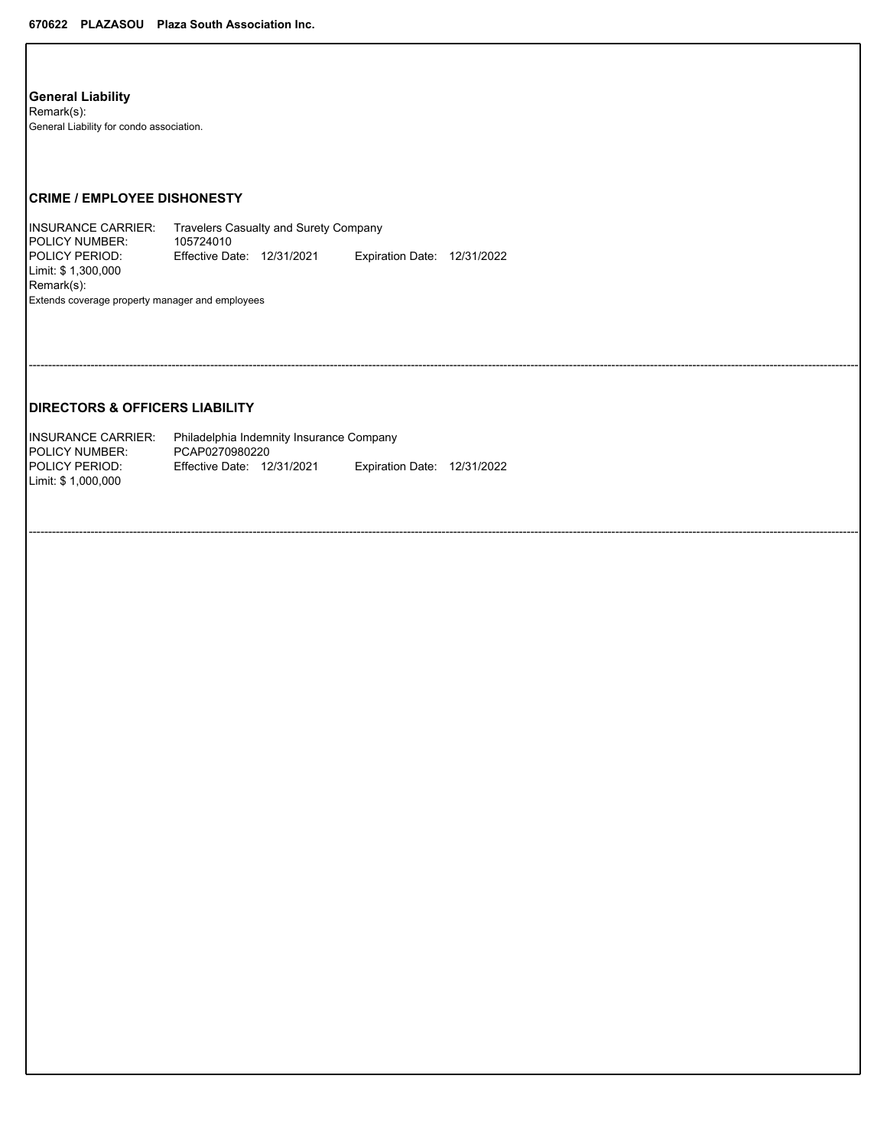**General-Liability** Remark(s): General Liability for condo association.

## **CRIME-/-EMPLOYEE-DISHONESTY**

INSURANCE CARRIER: Travelers Casualty and Surety Company POLICY-NUMBER: 105724010 POLICY PERIOD: PERIOD: Effective Date: 12/31/2021 Expiration Expiration Date: 12/31/2022 Limit: \$ 1,300,000 Remark(s): Extends coverage property manager and employees

-----------------------------------------------------------------------------------------------------------------------------------------------------------------------------------------------------------------------

-----------------------------------------------------------------------------------------------------------------------------------------------------------------------------------------------------------------------

## **DIRECTORS-&-OFFICERS-LIABILITY**

| <b>IINSURANCE CARRIER:</b> | Philadelphia Indemnity Insurance Company |  |                             |  |  |  |  |  |
|----------------------------|------------------------------------------|--|-----------------------------|--|--|--|--|--|
| <b>IPOLICY NUMBER:</b>     | PCAP0270980220                           |  |                             |  |  |  |  |  |
| <b>IPOLICY PERIOD:</b>     | <b>Effective Date: 12/31/2021</b>        |  | Expiration Date: 12/31/2022 |  |  |  |  |  |
| Limit: \$ 1.000.000        |                                          |  |                             |  |  |  |  |  |
|                            |                                          |  |                             |  |  |  |  |  |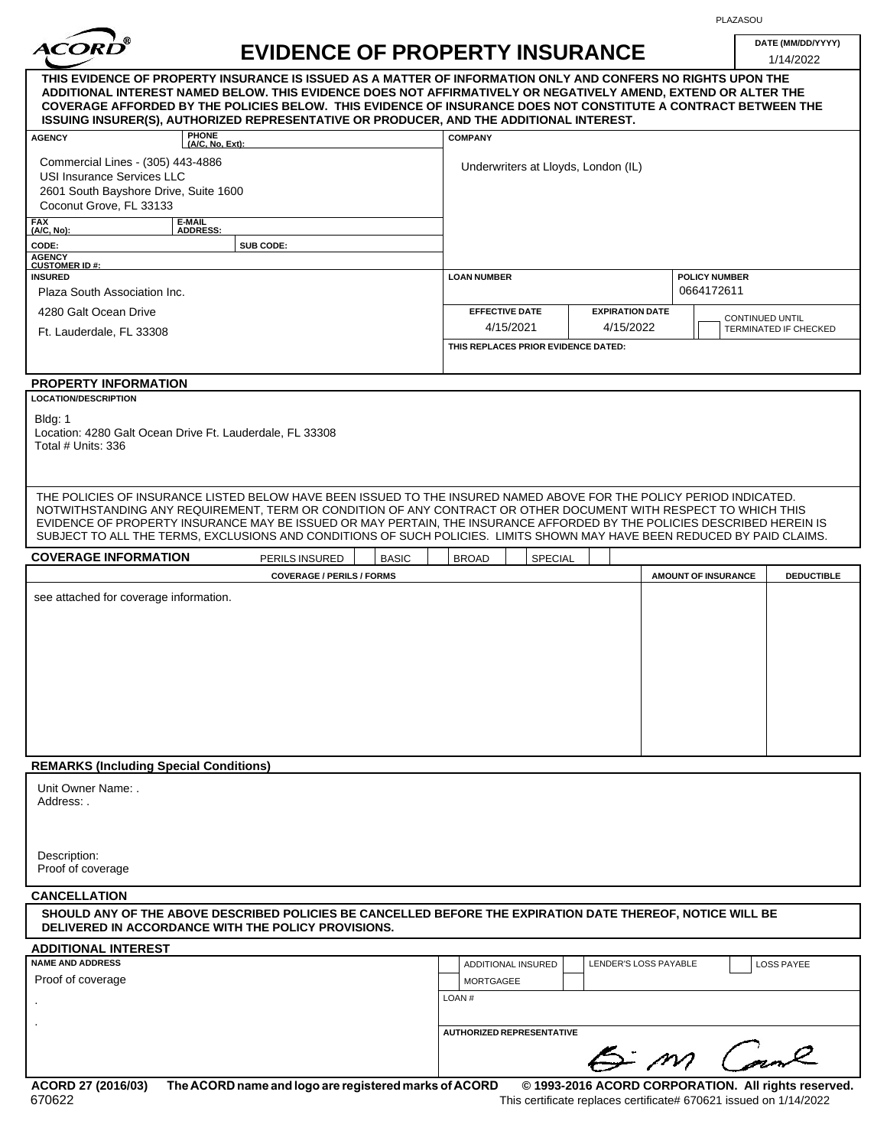| ACORD |  |  |
|-------|--|--|
|       |  |  |

PLAZASOU F

| <i><b>ACORD</b></i>                                                                                                                                                                             | <b>EVIDENCE OF PROPERTY INSURANCE</b>                                                                                                                                                                                                                                                                                                                                                                                                        |                                     |                                     |                            | 1/14/2022                                       |
|-------------------------------------------------------------------------------------------------------------------------------------------------------------------------------------------------|----------------------------------------------------------------------------------------------------------------------------------------------------------------------------------------------------------------------------------------------------------------------------------------------------------------------------------------------------------------------------------------------------------------------------------------------|-------------------------------------|-------------------------------------|----------------------------|-------------------------------------------------|
|                                                                                                                                                                                                 | THIS EVIDENCE OF PROPERTY INSURANCE IS ISSUED AS A MATTER OF INFORMATION ONLY AND CONFERS NO RIGHTS UPON THE<br>ADDITIONAL INTEREST NAMED BELOW. THIS EVIDENCE DOES NOT AFFIRMATIVELY OR NEGATIVELY AMEND, EXTEND OR ALTER THE<br>COVERAGE AFFORDED BY THE POLICIES BELOW.  THIS EVIDENCE OF INSURANCE DOES NOT CONSTITUTE A CONTRACT BETWEEN THE<br>ISSUING INSURER(S), AUTHORIZED REPRESENTATIVE OR PRODUCER, AND THE ADDITIONAL INTEREST. |                                     |                                     |                            |                                                 |
| <b>AGENCY</b>                                                                                                                                                                                   | PHONE<br>(A/C, No, Ext):                                                                                                                                                                                                                                                                                                                                                                                                                     | <b>COMPANY</b>                      |                                     |                            |                                                 |
| Commercial Lines - (305) 443-4886<br>USI Insurance Services LLC<br>2601 South Bayshore Drive, Suite 1600                                                                                        |                                                                                                                                                                                                                                                                                                                                                                                                                                              | Underwriters at Lloyds, London (IL) |                                     |                            |                                                 |
| Coconut Grove, FL 33133                                                                                                                                                                         |                                                                                                                                                                                                                                                                                                                                                                                                                                              |                                     |                                     |                            |                                                 |
| FAX<br>(A/C, No):                                                                                                                                                                               | E-MAIL<br>ADDRESS:                                                                                                                                                                                                                                                                                                                                                                                                                           |                                     |                                     |                            |                                                 |
| CODE:                                                                                                                                                                                           | SUB CODE:                                                                                                                                                                                                                                                                                                                                                                                                                                    |                                     |                                     |                            |                                                 |
| <b>AGENCY<br/>CUSTOMER ID#:</b><br><b>INSURED</b>                                                                                                                                               |                                                                                                                                                                                                                                                                                                                                                                                                                                              | <b>LOAN NUMBER</b>                  |                                     | <b>POLICY NUMBER</b>       |                                                 |
| Plaza South Association Inc.                                                                                                                                                                    |                                                                                                                                                                                                                                                                                                                                                                                                                                              |                                     |                                     | 0664172611                 |                                                 |
| 4280 Galt Ocean Drive<br>Ft. Lauderdale, FL 33308                                                                                                                                               |                                                                                                                                                                                                                                                                                                                                                                                                                                              | <b>EFFECTIVE DATE</b><br>4/15/2021  | <b>EXPIRATION DATE</b><br>4/15/2022 |                            | <b>CONTINUED UNTIL</b><br>TERMINATED IF CHECKED |
|                                                                                                                                                                                                 |                                                                                                                                                                                                                                                                                                                                                                                                                                              | THIS REPLACES PRIOR EVIDENCE DATED: |                                     |                            |                                                 |
| <b>PROPERTY INFORMATION</b>                                                                                                                                                                     |                                                                                                                                                                                                                                                                                                                                                                                                                                              |                                     |                                     |                            |                                                 |
| <b>LOCATION/DESCRIPTION</b>                                                                                                                                                                     |                                                                                                                                                                                                                                                                                                                                                                                                                                              |                                     |                                     |                            |                                                 |
| Bldg: 1<br>Total # Units: 336                                                                                                                                                                   | Location: 4280 Galt Ocean Drive Ft. Lauderdale, FL 33308                                                                                                                                                                                                                                                                                                                                                                                     |                                     |                                     |                            |                                                 |
|                                                                                                                                                                                                 | THE POLICIES OF INSURANCE LISTED BELOW HAVE BEEN ISSUED TO THE INSURED NAMED ABOVE FOR THE POLICY PERIOD INDICATED.<br>NOTWITHSTANDING ANY REQUIREMENT, TERM OR CONDITION OF ANY CONTRACT OR OTHER DOCUMENT WITH RESPECT TO WHICH THIS                                                                                                                                                                                                       |                                     |                                     |                            |                                                 |
|                                                                                                                                                                                                 | EVIDENCE OF PROPERTY INSURANCE MAY BE ISSUED OR MAY PERTAIN, THE INSURANCE AFFORDED BY THE POLICIES DESCRIBED HEREIN IS<br>SUBJECT TO ALL THE TERMS, EXCLUSIONS AND CONDITIONS OF SUCH POLICIES. LIMITS SHOWN MAY HAVE BEEN REDUCED BY PAID CLAIMS.                                                                                                                                                                                          |                                     |                                     |                            |                                                 |
|                                                                                                                                                                                                 | PERILS INSURED<br><b>BASIC</b>                                                                                                                                                                                                                                                                                                                                                                                                               | <b>BROAD</b><br>SPECIAL             |                                     |                            |                                                 |
|                                                                                                                                                                                                 | <b>COVERAGE / PERILS / FORMS</b>                                                                                                                                                                                                                                                                                                                                                                                                             |                                     |                                     | <b>AMOUNT OF INSURANCE</b> | <b>DEDUCTIBLE</b>                               |
|                                                                                                                                                                                                 |                                                                                                                                                                                                                                                                                                                                                                                                                                              |                                     |                                     |                            |                                                 |
| <b>COVERAGE INFORMATION</b><br>see attached for coverage information.<br><b>REMARKS (Including Special Conditions)</b><br>Unit Owner Name: .<br>Address: .<br>Description:<br>Proof of coverage |                                                                                                                                                                                                                                                                                                                                                                                                                                              |                                     |                                     |                            |                                                 |
| <b>CANCELLATION</b>                                                                                                                                                                             | SHOULD ANY OF THE ABOVE DESCRIBED POLICIES BE CANCELLED BEFORE THE EXPIRATION DATE THEREOF, NOTICE WILL BE<br>DELIVERED IN ACCORDANCE WITH THE POLICY PROVISIONS.                                                                                                                                                                                                                                                                            |                                     |                                     |                            |                                                 |
| <b>ADDITIONAL INTEREST</b>                                                                                                                                                                      |                                                                                                                                                                                                                                                                                                                                                                                                                                              |                                     |                                     |                            |                                                 |
| <b>NAME AND ADDRESS</b><br>Proof of coverage                                                                                                                                                    |                                                                                                                                                                                                                                                                                                                                                                                                                                              | ADDITIONAL INSURED<br>MORTGAGEE     | LENDER'S LOSS PAYABLE               |                            | <b>LOSS PAYEE</b>                               |
|                                                                                                                                                                                                 |                                                                                                                                                                                                                                                                                                                                                                                                                                              | LOAN#                               |                                     |                            |                                                 |
|                                                                                                                                                                                                 |                                                                                                                                                                                                                                                                                                                                                                                                                                              | AUTHORIZED REPRESENTATIVE           |                                     |                            |                                                 |
|                                                                                                                                                                                                 |                                                                                                                                                                                                                                                                                                                                                                                                                                              |                                     | 5 m Cane                            |                            |                                                 |